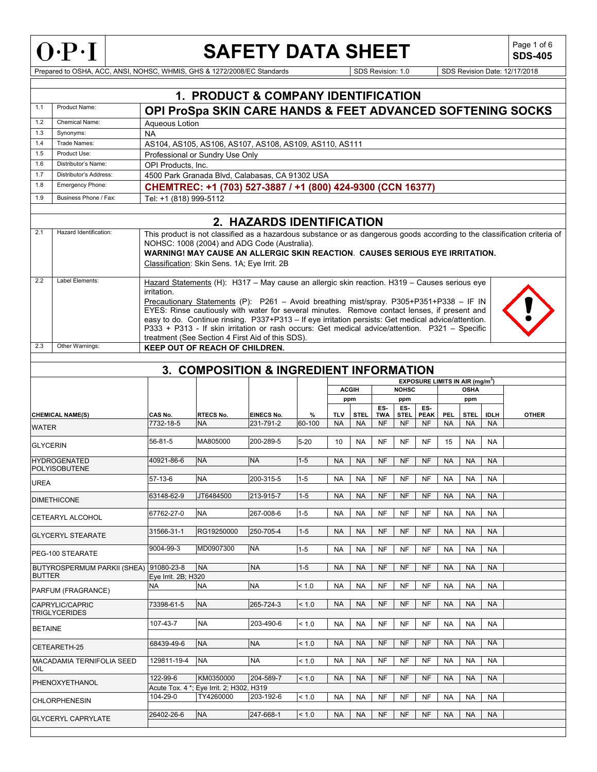

**SDS-405**

Prepared to OSHA, ACC, ANSI, NOHSC, WHMIS, GHS & 1272/2008/EC Standards Superinter Superinter Superinter Superinter Superinter Superinter Superinter Superinter Superinter Superinter Superinter Superinter Superinter Superin

| 1.1             | Product Name:                               |                                                                              | <b>1. PRODUCT &amp; COMPANY IDENTIFICATION</b>                                                                                                                                                        |                   |          |           |                     |            |                     |             |            |                                                  |             |              |  |
|-----------------|---------------------------------------------|------------------------------------------------------------------------------|-------------------------------------------------------------------------------------------------------------------------------------------------------------------------------------------------------|-------------------|----------|-----------|---------------------|------------|---------------------|-------------|------------|--------------------------------------------------|-------------|--------------|--|
|                 |                                             |                                                                              | <b>OPI ProSpa SKIN CARE HANDS &amp; FEET ADVANCED SOFTENING SOCKS</b>                                                                                                                                 |                   |          |           |                     |            |                     |             |            |                                                  |             |              |  |
| 1.2             | <b>Chemical Name:</b>                       | Aqueous Lotion                                                               |                                                                                                                                                                                                       |                   |          |           |                     |            |                     |             |            |                                                  |             |              |  |
| 1.3             | Synonyms:                                   | <b>NA</b>                                                                    |                                                                                                                                                                                                       |                   |          |           |                     |            |                     |             |            |                                                  |             |              |  |
| 1.4             | Trade Names:                                |                                                                              | AS104, AS105, AS106, AS107, AS108, AS109, AS110, AS111                                                                                                                                                |                   |          |           |                     |            |                     |             |            |                                                  |             |              |  |
| 1.5<br>1.6      | Product Use:<br>Distributor's Name:         |                                                                              | Professional or Sundry Use Only                                                                                                                                                                       |                   |          |           |                     |            |                     |             |            |                                                  |             |              |  |
| 1.7             | Distributor's Address:                      |                                                                              | OPI Products. Inc.<br>4500 Park Granada Blvd, Calabasas, CA 91302 USA                                                                                                                                 |                   |          |           |                     |            |                     |             |            |                                                  |             |              |  |
| 1.8             | Emergency Phone:                            |                                                                              |                                                                                                                                                                                                       |                   |          |           |                     |            |                     |             |            |                                                  |             |              |  |
| 1.9             | Business Phone / Fax:                       |                                                                              | CHEMTREC: +1 (703) 527-3887 / +1 (800) 424-9300 (CCN 16377)                                                                                                                                           |                   |          |           |                     |            |                     |             |            |                                                  |             |              |  |
|                 |                                             | Tel: +1 (818) 999-5112                                                       |                                                                                                                                                                                                       |                   |          |           |                     |            |                     |             |            |                                                  |             |              |  |
|                 |                                             |                                                                              |                                                                                                                                                                                                       |                   |          |           |                     |            |                     |             |            |                                                  |             |              |  |
| 2.1             | Hazard Identification:                      |                                                                              | 2. HAZARDS IDENTIFICATION<br>This product is not classified as a hazardous substance or as dangerous goods according to the classification criteria of                                                |                   |          |           |                     |            |                     |             |            |                                                  |             |              |  |
|                 |                                             | NOHSC: 1008 (2004) and ADG Code (Australia).                                 |                                                                                                                                                                                                       |                   |          |           |                     |            |                     |             |            |                                                  |             |              |  |
|                 |                                             | WARNING! MAY CAUSE AN ALLERGIC SKIN REACTION. CAUSES SERIOUS EYE IRRITATION. |                                                                                                                                                                                                       |                   |          |           |                     |            |                     |             |            |                                                  |             |              |  |
|                 |                                             | Classification: Skin Sens. 1A; Eye Irrit. 2B                                 |                                                                                                                                                                                                       |                   |          |           |                     |            |                     |             |            |                                                  |             |              |  |
| 2.2             | Label Elements:                             |                                                                              | Hazard Statements (H): H317 - May cause an allergic skin reaction. H319 - Causes serious eye                                                                                                          |                   |          |           |                     |            |                     |             |            |                                                  |             |              |  |
|                 |                                             | irritation.                                                                  |                                                                                                                                                                                                       |                   |          |           |                     |            |                     |             |            |                                                  |             |              |  |
|                 |                                             |                                                                              | Precautionary Statements (P): P261 - Avoid breathing mist/spray. P305+P351+P338 - IF IN                                                                                                               |                   |          |           |                     |            |                     |             |            |                                                  |             |              |  |
|                 |                                             |                                                                              | EYES: Rinse cautiously with water for several minutes. Remove contact lenses, if present and                                                                                                          |                   |          |           |                     |            |                     |             |            |                                                  |             |              |  |
|                 |                                             |                                                                              | easy to do. Continue rinsing. P337+P313 - If eye irritation persists: Get medical advice/attention.<br>P333 + P313 - If skin irritation or rash occurs: Get medical advice/attention. P321 - Specific |                   |          |           |                     |            |                     |             |            |                                                  |             |              |  |
|                 |                                             |                                                                              | treatment (See Section 4 First Aid of this SDS).                                                                                                                                                      |                   |          |           |                     |            |                     |             |            |                                                  |             |              |  |
| 2.3             | Other Warnings:                             |                                                                              | KEEP OUT OF REACH OF CHILDREN.                                                                                                                                                                        |                   |          |           |                     |            |                     |             |            |                                                  |             |              |  |
|                 |                                             |                                                                              |                                                                                                                                                                                                       |                   |          |           |                     |            |                     |             |            |                                                  |             |              |  |
|                 |                                             |                                                                              | 3. COMPOSITION & INGREDIENT INFORMATION                                                                                                                                                               |                   |          |           |                     |            |                     |             |            |                                                  |             |              |  |
|                 |                                             |                                                                              |                                                                                                                                                                                                       |                   |          |           |                     |            |                     |             |            | <b>EXPOSURE LIMITS IN AIR (mg/m<sup>3</sup>)</b> |             |              |  |
|                 |                                             |                                                                              |                                                                                                                                                                                                       |                   |          |           | <b>ACGIH</b><br>ppm |            | <b>NOHSC</b><br>ppm |             |            | <b>OSHA</b><br>ppm                               |             |              |  |
|                 |                                             |                                                                              |                                                                                                                                                                                                       |                   |          |           |                     | ES-        | ES-                 | ES-         |            |                                                  |             |              |  |
|                 | <b>CHEMICAL NAME(S)</b>                     | CAS No.                                                                      | <b>RTECS No.</b>                                                                                                                                                                                      | <b>EINECS No.</b> | %        | TLV       | <b>STEL</b>         | <b>TWA</b> | STEL.               | <b>PEAK</b> | <b>PEL</b> | STEL                                             | <b>IDLH</b> | <b>OTHER</b> |  |
| WATER           |                                             | 7732-18-5                                                                    | <b>NA</b>                                                                                                                                                                                             | 231-791-2         | 60-100   | <b>NA</b> | <b>NA</b>           | <b>NF</b>  | <b>NF</b>           | <b>NF</b>   | <b>NA</b>  | <b>NA</b>                                        | <b>NA</b>   |              |  |
|                 |                                             | 56-81-5                                                                      | MA805000                                                                                                                                                                                              | 200-289-5         | $5 - 20$ | 10        | <b>NA</b>           | NF         | NF                  | NF          | 15         | <b>NA</b>                                        | <b>NA</b>   |              |  |
| <b>GLYCERIN</b> |                                             |                                                                              |                                                                                                                                                                                                       |                   |          |           |                     |            |                     |             |            |                                                  |             |              |  |
|                 | <b>HYDROGENATED</b><br><b>POLYISOBUTENE</b> | 40921-86-6                                                                   | <b>NA</b>                                                                                                                                                                                             | <b>NA</b>         | $1 - 5$  | <b>NA</b> | <b>NA</b>           | <b>NF</b>  | NF                  | <b>NF</b>   | <b>NA</b>  | <b>NA</b>                                        | <b>NA</b>   |              |  |
|                 |                                             | 57-13-6                                                                      | <b>NA</b>                                                                                                                                                                                             | 200-315-5         | $1 - 5$  | <b>NA</b> | <b>NA</b>           | <b>NF</b>  | <b>NF</b>           | <b>NF</b>   | <b>NA</b>  | <b>NA</b>                                        | <b>NA</b>   |              |  |
| UREA            |                                             |                                                                              |                                                                                                                                                                                                       |                   |          |           |                     |            |                     |             |            |                                                  |             |              |  |
|                 | <b>DIMETHICONE</b>                          | 63148-62-9                                                                   | JT6484500                                                                                                                                                                                             | 213-915-7         | $1 - 5$  | <b>NA</b> | <b>NA</b>           | <b>NF</b>  | <b>NF</b>           | <b>NF</b>   | <b>NA</b>  | <b>NA</b>                                        | <b>NA</b>   |              |  |
|                 | CETEARYL ALCOHOL                            | 67762-27-0                                                                   | <b>NA</b>                                                                                                                                                                                             | 267-008-6         | $1 - 5$  | NA        | NA                  | <b>NF</b>  | <b>NF</b>           | <b>NF</b>   | NA         | NA                                               | NA          |              |  |
|                 |                                             | 31566-31-1                                                                   | RG19250000                                                                                                                                                                                            | 250-705-4         | $1 - 5$  | <b>NA</b> | <b>NA</b>           | NF         | NF                  | NF          | <b>NA</b>  | NA                                               | <b>NA</b>   |              |  |
|                 | <b>GLYCERYL STEARATE</b>                    |                                                                              |                                                                                                                                                                                                       |                   |          |           |                     |            |                     |             |            |                                                  |             |              |  |
|                 | PEG-100 STEARATE                            | 9004-99-3                                                                    | MD0907300                                                                                                                                                                                             | NA                | $1 - 5$  | <b>NA</b> | NA.                 | NF         | NF                  | NF          | <b>NA</b>  | <b>NA</b>                                        | <b>NA</b>   |              |  |
|                 | <b>BUTYROSPERMUM PARKII (SHEA)</b>          | 91080-23-8                                                                   | <b>NA</b>                                                                                                                                                                                             | <b>NA</b>         | $1 - 5$  | <b>NA</b> | <b>NA</b>           | <b>NF</b>  | <b>NF</b>           | <b>NF</b>   | <b>NA</b>  | <b>NA</b>                                        | <b>NA</b>   |              |  |
| <b>BUTTER</b>   |                                             | Eye Irrit. 2B; H320                                                          |                                                                                                                                                                                                       |                   |          |           |                     |            |                     |             |            |                                                  |             |              |  |
|                 | PARFUM (FRAGRANCE)                          | NA                                                                           | <b>NA</b>                                                                                                                                                                                             | <b>NA</b>         | < 1.0    | <b>NA</b> | <b>NA</b>           | NF         | NF                  | NF          | <b>NA</b>  | <b>NA</b>                                        | <b>NA</b>   |              |  |
|                 | CAPRYLIC/CAPRIC                             | 73398-61-5                                                                   | <b>NA</b>                                                                                                                                                                                             | 265-724-3         | < 1.0    | <b>NA</b> | <b>NA</b>           | <b>NF</b>  | NF                  | <b>NF</b>   | <b>NA</b>  | <b>NA</b>                                        | <b>NA</b>   |              |  |
|                 | <b>TRIGLYCERIDES</b>                        |                                                                              |                                                                                                                                                                                                       |                   |          |           |                     |            |                     |             |            |                                                  |             |              |  |
| <b>BETAINE</b>  |                                             | 107-43-7                                                                     | <b>NA</b>                                                                                                                                                                                             | 203-490-6         | < 1.0    | <b>NA</b> | <b>NA</b>           | NF         | NF                  | NF          | <b>NA</b>  | <b>NA</b>                                        | <b>NA</b>   |              |  |
|                 |                                             |                                                                              | <b>NA</b>                                                                                                                                                                                             | <b>NA</b>         |          | <b>NA</b> |                     | <b>NF</b>  | NF                  | <b>NF</b>   | <b>NA</b>  | <b>NA</b>                                        | <b>NA</b>   |              |  |
|                 | CETEARETH-25                                | 68439-49-6                                                                   |                                                                                                                                                                                                       |                   | < 1.0    |           | <b>NA</b>           |            |                     |             |            |                                                  |             |              |  |
|                 | MACADAMIA TERNIFOLIA SEED                   | 129811-19-4                                                                  | <b>NA</b>                                                                                                                                                                                             | <b>NA</b>         | < 1.0    | <b>NA</b> | <b>NA</b>           | <b>NF</b>  | <b>NF</b>           | NF          | NA         | <b>NA</b>                                        | <b>NA</b>   |              |  |
| OIL             |                                             | 122-99-6                                                                     | KM0350000                                                                                                                                                                                             | 204-589-7         | < 1.0    | <b>NA</b> | <b>NA</b>           | <b>NF</b>  | NF                  | <b>NF</b>   | <b>NA</b>  | <b>NA</b>                                        | <b>NA</b>   |              |  |
|                 | PHENOXYETHANOL                              |                                                                              | Acute Tox. 4 *; Eye Irrit. 2; H302, H319                                                                                                                                                              |                   |          |           |                     |            |                     |             |            |                                                  |             |              |  |
|                 | <b>CHLORPHENESIN</b>                        | 104-29-0                                                                     | TY4260000                                                                                                                                                                                             | 203-192-6         | < 1.0    | <b>NA</b> | NA                  | NF         | NF                  | NF          | <b>NA</b>  | <b>NA</b>                                        | <b>NA</b>   |              |  |
|                 |                                             | 26402-26-6                                                                   | <b>NA</b>                                                                                                                                                                                             | 247-668-1         | < 1.0    | <b>NA</b> | <b>NA</b>           | <b>NF</b>  | NF                  | <b>NF</b>   | <b>NA</b>  | <b>NA</b>                                        | <b>NA</b>   |              |  |
|                 | <b>GLYCERYL CAPRYLATE</b>                   |                                                                              |                                                                                                                                                                                                       |                   |          |           |                     |            |                     |             |            |                                                  |             |              |  |
|                 |                                             |                                                                              |                                                                                                                                                                                                       |                   |          |           |                     |            |                     |             |            |                                                  |             |              |  |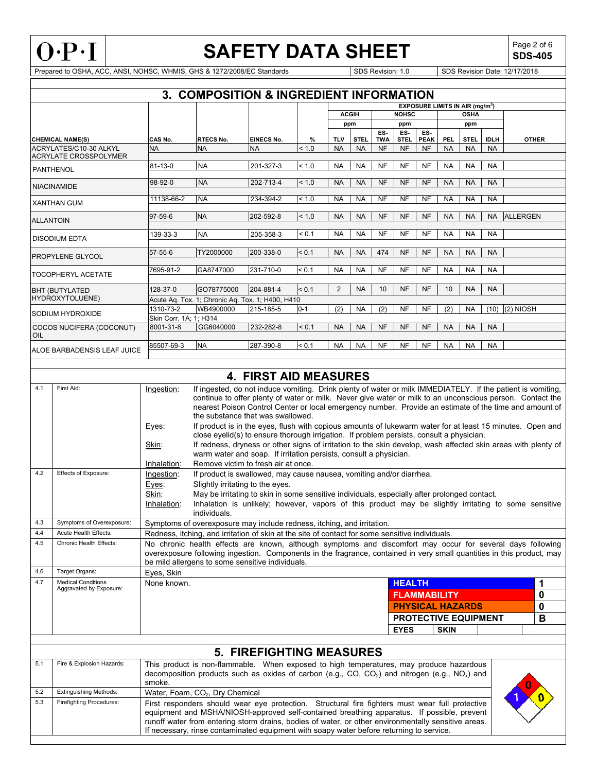

**SDS-405**

Prepared to OSHA, ACC, ANSI, NOHSC, WHMIS, GHS & 1272/2008/EC Standards Superinter Superinter Superinter Superinter Superinter Superinter Superinter Superinter Superinter Superinter Superinter Superinter Superinter Superin

|                              |                        | 3. COMPOSITION & INGREDIENT INFORMATION          |                              |         |                                                  |                     |                   |                    |                    |             |             |             |                                                                                                             |
|------------------------------|------------------------|--------------------------------------------------|------------------------------|---------|--------------------------------------------------|---------------------|-------------------|--------------------|--------------------|-------------|-------------|-------------|-------------------------------------------------------------------------------------------------------------|
|                              |                        |                                                  |                              |         | <b>EXPOSURE LIMITS IN AIR (mg/m<sup>3</sup>)</b> |                     |                   |                    |                    |             |             |             |                                                                                                             |
|                              |                        |                                                  |                              |         |                                                  | <b>ACGIH</b><br>ppm |                   | <b>NOHSC</b>       |                    | <b>OSHA</b> |             |             |                                                                                                             |
|                              |                        |                                                  |                              |         |                                                  |                     |                   | ppm                |                    | ppm         |             |             |                                                                                                             |
| <b>CHEMICAL NAME(S)</b>      | CAS No.                | <b>RTECS No.</b>                                 | <b>EINECS No.</b>            | %       | <b>TLV</b>                                       | <b>STEL</b>         | ES-<br><b>TWA</b> | ES-<br><b>STEL</b> | ES-<br><b>PEAK</b> | PEL         | <b>STEL</b> | <b>IDLH</b> | <b>OTHER</b>                                                                                                |
| ACRYLATES/C10-30 ALKYL       | <b>NA</b>              | <b>NA</b>                                        | <b>NA</b>                    | < 1.0   | <b>NA</b>                                        | <b>NA</b>           | <b>NF</b>         | <b>NF</b>          | <b>NF</b>          | <b>NA</b>   | <b>NA</b>   | <b>NA</b>   |                                                                                                             |
| <b>ACRYLATE CROSSPOLYMER</b> |                        |                                                  |                              |         |                                                  |                     |                   |                    |                    |             |             |             |                                                                                                             |
| <b>PANTHENOL</b>             | $81 - 13 - 0$          | <b>NA</b>                                        | 201-327-3                    | < 1.0   | <b>NA</b>                                        | <b>NA</b>           | <b>NF</b>         | <b>NF</b>          | <b>NF</b>          | <b>NA</b>   | <b>NA</b>   | <b>NA</b>   |                                                                                                             |
|                              | 98-92-0                | <b>NA</b>                                        | 202-713-4                    | < 1.0   | <b>NA</b>                                        | <b>NA</b>           | <b>NF</b>         | <b>NF</b>          | <b>NF</b>          | <b>NA</b>   | <b>NA</b>   | <b>NA</b>   |                                                                                                             |
| <b>NIACINAMIDE</b>           |                        |                                                  |                              |         |                                                  |                     |                   |                    |                    |             |             |             |                                                                                                             |
| <b>XANTHAN GUM</b>           | 11138-66-2             | <b>NA</b>                                        | 234-394-2                    | < 1.0   | <b>NA</b>                                        | <b>NA</b>           | <b>NF</b>         | <b>NF</b>          | <b>NF</b>          | <b>NA</b>   | <b>NA</b>   | <b>NA</b>   |                                                                                                             |
|                              |                        |                                                  |                              |         |                                                  |                     |                   |                    |                    |             |             |             |                                                                                                             |
| <b>ALLANTOIN</b>             | 97-59-6                | <b>NA</b>                                        | 202-592-8                    | < 1.0   | <b>NA</b>                                        | <b>NA</b>           | <b>NF</b>         | <b>NF</b>          | <b>NF</b>          | <b>NA</b>   | <b>NA</b>   | <b>NA</b>   | <b>ALLERGEN</b>                                                                                             |
|                              |                        |                                                  |                              |         |                                                  |                     |                   |                    |                    |             |             |             |                                                                                                             |
| <b>DISODIUM EDTA</b>         | 139-33-3               | <b>NA</b>                                        | 205-358-3                    | < 0.1   | <b>NA</b>                                        | <b>NA</b>           | <b>NF</b>         | <b>NF</b>          | <b>NF</b>          | <b>NA</b>   | <b>NA</b>   | <b>NA</b>   |                                                                                                             |
|                              |                        |                                                  |                              |         |                                                  |                     |                   |                    |                    |             |             |             |                                                                                                             |
| <b>PROPYLENE GLYCOL</b>      | 57-55-6                | TY2000000                                        | 200-338-0                    | < 0.1   | <b>NA</b>                                        | <b>NA</b>           | 474               | <b>NF</b>          | <b>NF</b>          | <b>NA</b>   | <b>NA</b>   | <b>NA</b>   |                                                                                                             |
|                              |                        |                                                  |                              |         |                                                  |                     |                   |                    |                    |             |             |             |                                                                                                             |
| <b>TOCOPHERYL ACETATE</b>    | 7695-91-2              | GA8747000                                        | 231-710-0                    | < 0.1   | <b>NA</b>                                        | <b>NA</b>           | <b>NF</b>         | <b>NF</b>          | <b>NF</b>          | <b>NA</b>   | <b>NA</b>   | <b>NA</b>   |                                                                                                             |
|                              |                        |                                                  |                              |         |                                                  |                     |                   |                    |                    |             |             |             |                                                                                                             |
| <b>BHT (BUTYLATED</b>        | 128-37-0               | GO78775000                                       | 204-881-4                    | < 0.1   | 2                                                | <b>NA</b>           | 10                | <b>NF</b>          | <b>NF</b>          | 10          | <b>NA</b>   | <b>NA</b>   |                                                                                                             |
| HYDROXYTOLUENE)              |                        | Acute Aq. Tox. 1; Chronic Aq. Tox. 1; H400, H410 |                              |         |                                                  |                     |                   |                    |                    |             |             |             |                                                                                                             |
|                              | 1310-73-2              | WB4900000                                        | 215-185-5                    | $0 - 1$ | (2)                                              | <b>NA</b>           | (2)               | <b>NF</b>          | <b>NF</b>          | (2)         | <b>NA</b>   | (10)        | (2) NIOSH                                                                                                   |
| SODIUM HYDROXIDE             | Skin Corr. 1A; 1; H314 |                                                  |                              |         |                                                  |                     |                   |                    |                    |             |             |             |                                                                                                             |
| COCOS NUCIFERA (COCONUT)     | 8001-31-8              | GG6040000                                        | 232-282-8                    | < 0.1   | <b>NA</b>                                        | <b>NA</b>           | <b>NF</b>         | <b>NF</b>          | <b>NF</b>          | <b>NA</b>   | <b>NA</b>   | <b>NA</b>   |                                                                                                             |
| OIL                          |                        |                                                  |                              |         |                                                  |                     |                   |                    |                    |             |             |             |                                                                                                             |
| ALOE BARBADENSIS LEAF JUICE  | 85507-69-3             | <b>NA</b>                                        | 287-390-8                    | < 0.1   | <b>NA</b>                                        | <b>NA</b>           | <b>NF</b>         | <b>NF</b>          | <b>NF</b>          | <b>NA</b>   | <b>NA</b>   | <b>NA</b>   |                                                                                                             |
|                              |                        |                                                  |                              |         |                                                  |                     |                   |                    |                    |             |             |             |                                                                                                             |
|                              |                        |                                                  |                              |         |                                                  |                     |                   |                    |                    |             |             |             |                                                                                                             |
|                              |                        |                                                  | <b>4. FIRST AID MEASURES</b> |         |                                                  |                     |                   |                    |                    |             |             |             |                                                                                                             |
| First Aid:<br>4.1            | Ingestion:             |                                                  |                              |         |                                                  |                     |                   |                    |                    |             |             |             | If ingested, do not induce vomiting. Drink plenty of water or milk IMMEDIATELY. If the patient is vomiting, |

| 4.1 | First Aid:                                           | Ingestion:  | If ingested, do not induce vomiting. Drink plenty of water or milk IMMEDIATELY. If the patient is vomiting,<br>continue to offer plenty of water or milk. Never give water or milk to an unconscious person. Contact the<br>nearest Poison Control Center or local emergency number. Provide an estimate of the time and amount of<br>the substance that was swallowed. |                                                                                                                                                                                    |                             |  |          |  |  |  |  |
|-----|------------------------------------------------------|-------------|-------------------------------------------------------------------------------------------------------------------------------------------------------------------------------------------------------------------------------------------------------------------------------------------------------------------------------------------------------------------------|------------------------------------------------------------------------------------------------------------------------------------------------------------------------------------|-----------------------------|--|----------|--|--|--|--|
|     |                                                      | Eyes:       | If product is in the eyes, flush with copious amounts of lukewarm water for at least 15 minutes. Open and<br>close eyelid(s) to ensure thorough irrigation. If problem persists, consult a physician.                                                                                                                                                                   |                                                                                                                                                                                    |                             |  |          |  |  |  |  |
|     |                                                      | Skin:       | Remove victim to fresh air at once.                                                                                                                                                                                                                                                                                                                                     | If redness, dryness or other signs of irritation to the skin develop, wash affected skin areas with plenty of<br>warm water and soap. If irritation persists, consult a physician. |                             |  |          |  |  |  |  |
|     |                                                      | Inhalation: |                                                                                                                                                                                                                                                                                                                                                                         |                                                                                                                                                                                    |                             |  |          |  |  |  |  |
| 4.2 | Effects of Exposure:                                 | Ingestion:  | If product is swallowed, may cause nausea, vomiting and/or diarrhea.                                                                                                                                                                                                                                                                                                    |                                                                                                                                                                                    |                             |  |          |  |  |  |  |
|     |                                                      | Eyes:       | Slightly irritating to the eyes.                                                                                                                                                                                                                                                                                                                                        |                                                                                                                                                                                    |                             |  |          |  |  |  |  |
|     |                                                      | Skin:       | May be irritating to skin in some sensitive individuals, especially after prolonged contact.                                                                                                                                                                                                                                                                            |                                                                                                                                                                                    |                             |  |          |  |  |  |  |
|     |                                                      | Inhalation: | Inhalation is unlikely; however, vapors of this product may be slightly irritating to some sensitive<br>individuals                                                                                                                                                                                                                                                     |                                                                                                                                                                                    |                             |  |          |  |  |  |  |
| 4.3 | Symptoms of Overexposure:                            |             | Symptoms of overexposure may include redness, itching, and irritation.                                                                                                                                                                                                                                                                                                  |                                                                                                                                                                                    |                             |  |          |  |  |  |  |
| 4.4 | Acute Health Effects:                                |             | Redness, itching, and irritation of skin at the site of contact for some sensitive individuals.                                                                                                                                                                                                                                                                         |                                                                                                                                                                                    |                             |  |          |  |  |  |  |
| 4.5 | Chronic Health Effects:                              |             | No chronic health effects are known, although symptoms and discomfort may occur for several days following<br>overexposure following ingestion. Components in the fragrance, contained in very small quantities in this product, may<br>be mild allergens to some sensitive individuals.                                                                                |                                                                                                                                                                                    |                             |  |          |  |  |  |  |
| 4.6 | Target Organs:                                       | Eyes, Skin  |                                                                                                                                                                                                                                                                                                                                                                         |                                                                                                                                                                                    |                             |  |          |  |  |  |  |
| 4.7 | <b>Medical Conditions</b><br>Aggravated by Exposure: | None known. |                                                                                                                                                                                                                                                                                                                                                                         | <b>HEALTH</b>                                                                                                                                                                      |                             |  | 1        |  |  |  |  |
|     |                                                      |             |                                                                                                                                                                                                                                                                                                                                                                         | <b>FLAMMABILITY</b>                                                                                                                                                                |                             |  | 0        |  |  |  |  |
|     |                                                      |             |                                                                                                                                                                                                                                                                                                                                                                         |                                                                                                                                                                                    | <b>PHYSICAL HAZARDS</b>     |  | $\bf{0}$ |  |  |  |  |
|     |                                                      |             |                                                                                                                                                                                                                                                                                                                                                                         |                                                                                                                                                                                    | <b>PROTECTIVE EQUIPMENT</b> |  | B        |  |  |  |  |
|     |                                                      |             |                                                                                                                                                                                                                                                                                                                                                                         | <b>EYES</b>                                                                                                                                                                        | <b>SKIN</b>                 |  |          |  |  |  |  |
|     |                                                      |             |                                                                                                                                                                                                                                                                                                                                                                         |                                                                                                                                                                                    |                             |  |          |  |  |  |  |

| <b>5. FIREFIGHTING MEASURES</b> |                                 |                                                                                                                                                                                                                                                                                                                                                                                                  |          |  |  |  |  |  |
|---------------------------------|---------------------------------|--------------------------------------------------------------------------------------------------------------------------------------------------------------------------------------------------------------------------------------------------------------------------------------------------------------------------------------------------------------------------------------------------|----------|--|--|--|--|--|
| 5.1                             | Fire & Explosion Hazards:       | This product is non-flammable. When exposed to high temperatures, may produce hazardous<br>decomposition products such as oxides of carbon (e.g., CO, CO <sub>2</sub> ) and nitrogen (e.g., NO <sub>x</sub> ) and  <br>smoke.                                                                                                                                                                    | $\bf{0}$ |  |  |  |  |  |
| 5.2                             | <b>Extinguishing Methods:</b>   | Water, Foam, CO <sub>2</sub> , Dry Chemical                                                                                                                                                                                                                                                                                                                                                      |          |  |  |  |  |  |
| 5.3                             | <b>Firefighting Procedures:</b> | First responders should wear eye protection. Structural fire fighters must wear full protective<br>equipment and MSHA/NIOSH-approved self-contained breathing apparatus. If possible, prevent<br>runoff water from entering storm drains, bodies of water, or other environmentally sensitive areas.<br>If necessary, rinse contaminated equipment with soapy water before returning to service. |          |  |  |  |  |  |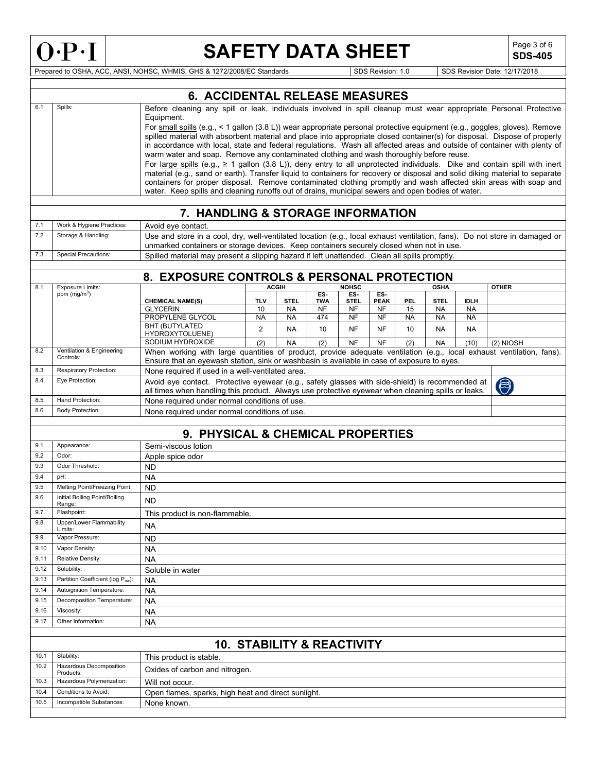

**SDS-405**

Prepared to OSHA, ACC, ANSI, NOHSC, WHMIS, GHS & 1272/2008/EC Standards Superinter Superinter Superinter Superinter Superinter Superinter Superinter Superinter Superinter Superinter Superinter Superinter Superinter Superin

|              |                                                                                                                                                                                                                                                                                                                                                                                                                                                                                                                                                                                                                                                                                                                                                                                                                                                                                                                                                                                                                                                                                                                          | <b>6. ACCIDENTAL RELEASE MEASURES</b>                                                                                                                                                                                                                                |            |              |                   |                    |                   |            |             |              |              |
|--------------|--------------------------------------------------------------------------------------------------------------------------------------------------------------------------------------------------------------------------------------------------------------------------------------------------------------------------------------------------------------------------------------------------------------------------------------------------------------------------------------------------------------------------------------------------------------------------------------------------------------------------------------------------------------------------------------------------------------------------------------------------------------------------------------------------------------------------------------------------------------------------------------------------------------------------------------------------------------------------------------------------------------------------------------------------------------------------------------------------------------------------|----------------------------------------------------------------------------------------------------------------------------------------------------------------------------------------------------------------------------------------------------------------------|------------|--------------|-------------------|--------------------|-------------------|------------|-------------|--------------|--------------|
| 6.1          | Before cleaning any spill or leak, individuals involved in spill cleanup must wear appropriate Personal Protective<br>Spills:<br>Equipment.<br>For small spills (e.g., < 1 gallon (3.8 L)) wear appropriate personal protective equipment (e.g., goggles, gloves). Remove<br>spilled material with absorbent material and place into appropriate closed container(s) for disposal. Dispose of properly<br>in accordance with local, state and federal regulations. Wash all affected areas and outside of container with plenty of<br>warm water and soap. Remove any contaminated clothing and wash thoroughly before reuse.<br>For large spills (e.g., $\geq 1$ gallon (3.8 L)), deny entry to all unprotected individuals. Dike and contain spill with inert<br>material (e.g., sand or earth). Transfer liquid to containers for recovery or disposal and solid diking material to separate<br>containers for proper disposal. Remove contaminated clothing promptly and wash affected skin areas with soap and<br>water. Keep spills and cleaning runoffs out of drains, municipal sewers and open bodies of water. |                                                                                                                                                                                                                                                                      |            |              |                   |                    |                   |            |             |              |              |
|              |                                                                                                                                                                                                                                                                                                                                                                                                                                                                                                                                                                                                                                                                                                                                                                                                                                                                                                                                                                                                                                                                                                                          | 7. HANDLING & STORAGE INFORMATION                                                                                                                                                                                                                                    |            |              |                   |                    |                   |            |             |              |              |
| 7.1          | Work & Hygiene Practices:                                                                                                                                                                                                                                                                                                                                                                                                                                                                                                                                                                                                                                                                                                                                                                                                                                                                                                                                                                                                                                                                                                | Avoid eye contact.                                                                                                                                                                                                                                                   |            |              |                   |                    |                   |            |             |              |              |
| 7.2          | Storage & Handling:                                                                                                                                                                                                                                                                                                                                                                                                                                                                                                                                                                                                                                                                                                                                                                                                                                                                                                                                                                                                                                                                                                      | Use and store in a cool, dry, well-ventilated location (e.g., local exhaust ventilation, fans). Do not store in damaged or<br>unmarked containers or storage devices. Keep containers securely closed when not in use.                                               |            |              |                   |                    |                   |            |             |              |              |
| 7.3          | <b>Special Precautions:</b>                                                                                                                                                                                                                                                                                                                                                                                                                                                                                                                                                                                                                                                                                                                                                                                                                                                                                                                                                                                                                                                                                              | Spilled material may present a slipping hazard if left unattended. Clean all spills promptly.                                                                                                                                                                        |            |              |                   |                    |                   |            |             |              |              |
|              |                                                                                                                                                                                                                                                                                                                                                                                                                                                                                                                                                                                                                                                                                                                                                                                                                                                                                                                                                                                                                                                                                                                          | 8. EXPOSURE CONTROLS & PERSONAL PROTECTION                                                                                                                                                                                                                           |            |              |                   |                    |                   |            |             |              |              |
| 8.1          | <b>Exposure Limits:</b>                                                                                                                                                                                                                                                                                                                                                                                                                                                                                                                                                                                                                                                                                                                                                                                                                                                                                                                                                                                                                                                                                                  |                                                                                                                                                                                                                                                                      |            | <b>ACGIH</b> |                   | <b>NOHSC</b>       |                   |            | <b>OSHA</b> |              | <b>OTHER</b> |
|              | ppm $(mg/m3)$                                                                                                                                                                                                                                                                                                                                                                                                                                                                                                                                                                                                                                                                                                                                                                                                                                                                                                                                                                                                                                                                                                            | <b>CHEMICAL NAME(S)</b>                                                                                                                                                                                                                                              | <b>TLV</b> | <b>STEL</b>  | ES-<br><b>TWA</b> | ES-<br><b>STEL</b> | FS<br><b>PEAK</b> | <b>PEL</b> | <b>STEL</b> | <b>IDLII</b> |              |
|              |                                                                                                                                                                                                                                                                                                                                                                                                                                                                                                                                                                                                                                                                                                                                                                                                                                                                                                                                                                                                                                                                                                                          | <b>GLYCERIN</b>                                                                                                                                                                                                                                                      | 10         | <b>NA</b>    | <b>NF</b>         | <b>NF</b>          | NF                | 15         | <b>NA</b>   | <b>NA</b>    |              |
|              |                                                                                                                                                                                                                                                                                                                                                                                                                                                                                                                                                                                                                                                                                                                                                                                                                                                                                                                                                                                                                                                                                                                          | PROPYLENE GLYCOL                                                                                                                                                                                                                                                     | <b>NA</b>  | <b>NA</b>    | 474               | <b>NF</b>          | <b>NF</b>         | <b>NA</b>  | <b>NA</b>   | <b>NA</b>    |              |
|              |                                                                                                                                                                                                                                                                                                                                                                                                                                                                                                                                                                                                                                                                                                                                                                                                                                                                                                                                                                                                                                                                                                                          | <b>BHT (BUTYLATED</b><br>HYDROXYTOLUENE)                                                                                                                                                                                                                             | 2          | <b>NA</b>    | 10                | NF                 | NF                | 10         | <b>NA</b>   | NA           |              |
|              |                                                                                                                                                                                                                                                                                                                                                                                                                                                                                                                                                                                                                                                                                                                                                                                                                                                                                                                                                                                                                                                                                                                          | SODIUM HYDROXIDE                                                                                                                                                                                                                                                     | (2)        | <b>NA</b>    | (2)               | <b>NF</b>          | <b>NF</b>         | (2)        | <b>NA</b>   | (10)         | $(2)$ NIOSH  |
| 8.2          | Ventilation & Engineering<br>Controls:                                                                                                                                                                                                                                                                                                                                                                                                                                                                                                                                                                                                                                                                                                                                                                                                                                                                                                                                                                                                                                                                                   | When working with large quantities of product, provide adequate ventilation (e.g., local exhaust ventilation, fans).<br>Ensure that an eyewash station, sink or washbasin is available in case of exposure to eyes.                                                  |            |              |                   |                    |                   |            |             |              |              |
| 8.3          | Respiratory Protection:                                                                                                                                                                                                                                                                                                                                                                                                                                                                                                                                                                                                                                                                                                                                                                                                                                                                                                                                                                                                                                                                                                  | None required if used in a well-ventilated area                                                                                                                                                                                                                      |            |              |                   |                    |                   |            |             |              |              |
| 8.4          | Eye Protection:                                                                                                                                                                                                                                                                                                                                                                                                                                                                                                                                                                                                                                                                                                                                                                                                                                                                                                                                                                                                                                                                                                          |                                                                                                                                                                                                                                                                      |            |              |                   |                    |                   |            |             |              |              |
| 8.5          | Hand Protection:                                                                                                                                                                                                                                                                                                                                                                                                                                                                                                                                                                                                                                                                                                                                                                                                                                                                                                                                                                                                                                                                                                         | Avoid eye contact. Protective eyewear (e.g., safety glasses with side-shield) is recommended at<br>$\bigcirc$<br>all times when handling this product. Always use protective eyewear when cleaning spills or leaks.<br>None required under normal conditions of use. |            |              |                   |                    |                   |            |             |              |              |
| 8.6          | <b>Body Protection:</b>                                                                                                                                                                                                                                                                                                                                                                                                                                                                                                                                                                                                                                                                                                                                                                                                                                                                                                                                                                                                                                                                                                  |                                                                                                                                                                                                                                                                      |            |              |                   |                    |                   |            |             |              |              |
|              | None required under normal conditions of use.                                                                                                                                                                                                                                                                                                                                                                                                                                                                                                                                                                                                                                                                                                                                                                                                                                                                                                                                                                                                                                                                            |                                                                                                                                                                                                                                                                      |            |              |                   |                    |                   |            |             |              |              |
|              |                                                                                                                                                                                                                                                                                                                                                                                                                                                                                                                                                                                                                                                                                                                                                                                                                                                                                                                                                                                                                                                                                                                          | 9. PHYSICAL & CHEMICAL PROPERTIES                                                                                                                                                                                                                                    |            |              |                   |                    |                   |            |             |              |              |
| 9.1          | Appearance:                                                                                                                                                                                                                                                                                                                                                                                                                                                                                                                                                                                                                                                                                                                                                                                                                                                                                                                                                                                                                                                                                                              | Semi-viscous lotion                                                                                                                                                                                                                                                  |            |              |                   |                    |                   |            |             |              |              |
| 9.2          | Odor:                                                                                                                                                                                                                                                                                                                                                                                                                                                                                                                                                                                                                                                                                                                                                                                                                                                                                                                                                                                                                                                                                                                    | Apple spice odor                                                                                                                                                                                                                                                     |            |              |                   |                    |                   |            |             |              |              |
| 9.3          | Odor Threshold:                                                                                                                                                                                                                                                                                                                                                                                                                                                                                                                                                                                                                                                                                                                                                                                                                                                                                                                                                                                                                                                                                                          | <b>ND</b>                                                                                                                                                                                                                                                            |            |              |                   |                    |                   |            |             |              |              |
| 9.4          | pH:                                                                                                                                                                                                                                                                                                                                                                                                                                                                                                                                                                                                                                                                                                                                                                                                                                                                                                                                                                                                                                                                                                                      | <b>NA</b>                                                                                                                                                                                                                                                            |            |              |                   |                    |                   |            |             |              |              |
| 9.5          | Melting Point/Freezing Point:                                                                                                                                                                                                                                                                                                                                                                                                                                                                                                                                                                                                                                                                                                                                                                                                                                                                                                                                                                                                                                                                                            | <b>ND</b>                                                                                                                                                                                                                                                            |            |              |                   |                    |                   |            |             |              |              |
| 9.6          | Initial Boiling Point/Boiling                                                                                                                                                                                                                                                                                                                                                                                                                                                                                                                                                                                                                                                                                                                                                                                                                                                                                                                                                                                                                                                                                            | <b>ND</b>                                                                                                                                                                                                                                                            |            |              |                   |                    |                   |            |             |              |              |
| 9.7          | Range:<br>Flashpoint:                                                                                                                                                                                                                                                                                                                                                                                                                                                                                                                                                                                                                                                                                                                                                                                                                                                                                                                                                                                                                                                                                                    |                                                                                                                                                                                                                                                                      |            |              |                   |                    |                   |            |             |              |              |
| 9.8          | Upper/Lower Flammability                                                                                                                                                                                                                                                                                                                                                                                                                                                                                                                                                                                                                                                                                                                                                                                                                                                                                                                                                                                                                                                                                                 | This product is non-flammable.                                                                                                                                                                                                                                       |            |              |                   |                    |                   |            |             |              |              |
|              | Limits:                                                                                                                                                                                                                                                                                                                                                                                                                                                                                                                                                                                                                                                                                                                                                                                                                                                                                                                                                                                                                                                                                                                  | <b>NA</b>                                                                                                                                                                                                                                                            |            |              |                   |                    |                   |            |             |              |              |
| 9.9          | Vapor Pressure:                                                                                                                                                                                                                                                                                                                                                                                                                                                                                                                                                                                                                                                                                                                                                                                                                                                                                                                                                                                                                                                                                                          | ND                                                                                                                                                                                                                                                                   |            |              |                   |                    |                   |            |             |              |              |
| 9.10         | Vapor Density:                                                                                                                                                                                                                                                                                                                                                                                                                                                                                                                                                                                                                                                                                                                                                                                                                                                                                                                                                                                                                                                                                                           | <b>NA</b>                                                                                                                                                                                                                                                            |            |              |                   |                    |                   |            |             |              |              |
| 9.11         | Relative Density:                                                                                                                                                                                                                                                                                                                                                                                                                                                                                                                                                                                                                                                                                                                                                                                                                                                                                                                                                                                                                                                                                                        | <b>NA</b>                                                                                                                                                                                                                                                            |            |              |                   |                    |                   |            |             |              |              |
| 9.12         | Solubility:                                                                                                                                                                                                                                                                                                                                                                                                                                                                                                                                                                                                                                                                                                                                                                                                                                                                                                                                                                                                                                                                                                              | Soluble in water                                                                                                                                                                                                                                                     |            |              |                   |                    |                   |            |             |              |              |
| 9.13         | Partition Coefficient (log Pow):                                                                                                                                                                                                                                                                                                                                                                                                                                                                                                                                                                                                                                                                                                                                                                                                                                                                                                                                                                                                                                                                                         | <b>NA</b>                                                                                                                                                                                                                                                            |            |              |                   |                    |                   |            |             |              |              |
| 9.14         | Autoignition Temperature:<br>Decomposition Temperature:                                                                                                                                                                                                                                                                                                                                                                                                                                                                                                                                                                                                                                                                                                                                                                                                                                                                                                                                                                                                                                                                  | <b>NA</b>                                                                                                                                                                                                                                                            |            |              |                   |                    |                   |            |             |              |              |
| 9.15<br>9.16 | Viscosity:                                                                                                                                                                                                                                                                                                                                                                                                                                                                                                                                                                                                                                                                                                                                                                                                                                                                                                                                                                                                                                                                                                               | <b>NA</b>                                                                                                                                                                                                                                                            |            |              |                   |                    |                   |            |             |              |              |
| 9.17         | Other Information:                                                                                                                                                                                                                                                                                                                                                                                                                                                                                                                                                                                                                                                                                                                                                                                                                                                                                                                                                                                                                                                                                                       | <b>NA</b>                                                                                                                                                                                                                                                            |            |              |                   |                    |                   |            |             |              |              |
|              |                                                                                                                                                                                                                                                                                                                                                                                                                                                                                                                                                                                                                                                                                                                                                                                                                                                                                                                                                                                                                                                                                                                          | <b>NA</b>                                                                                                                                                                                                                                                            |            |              |                   |                    |                   |            |             |              |              |
|              |                                                                                                                                                                                                                                                                                                                                                                                                                                                                                                                                                                                                                                                                                                                                                                                                                                                                                                                                                                                                                                                                                                                          | <b>10. STABILITY &amp; REACTIVITY</b>                                                                                                                                                                                                                                |            |              |                   |                    |                   |            |             |              |              |
| 10.1         | Stability:                                                                                                                                                                                                                                                                                                                                                                                                                                                                                                                                                                                                                                                                                                                                                                                                                                                                                                                                                                                                                                                                                                               | This product is stable.                                                                                                                                                                                                                                              |            |              |                   |                    |                   |            |             |              |              |
| 10.2         | Hazardous Decomposition<br>Products:                                                                                                                                                                                                                                                                                                                                                                                                                                                                                                                                                                                                                                                                                                                                                                                                                                                                                                                                                                                                                                                                                     | Oxides of carbon and nitrogen.                                                                                                                                                                                                                                       |            |              |                   |                    |                   |            |             |              |              |
| 10.3         | Hazardous Polymerization:                                                                                                                                                                                                                                                                                                                                                                                                                                                                                                                                                                                                                                                                                                                                                                                                                                                                                                                                                                                                                                                                                                | Will not occur.                                                                                                                                                                                                                                                      |            |              |                   |                    |                   |            |             |              |              |
| 10.4         | Conditions to Avoid:                                                                                                                                                                                                                                                                                                                                                                                                                                                                                                                                                                                                                                                                                                                                                                                                                                                                                                                                                                                                                                                                                                     | Open flames, sparks, high heat and direct sunlight.                                                                                                                                                                                                                  |            |              |                   |                    |                   |            |             |              |              |
| 10.5         | Incompatible Substances:                                                                                                                                                                                                                                                                                                                                                                                                                                                                                                                                                                                                                                                                                                                                                                                                                                                                                                                                                                                                                                                                                                 | None known.                                                                                                                                                                                                                                                          |            |              |                   |                    |                   |            |             |              |              |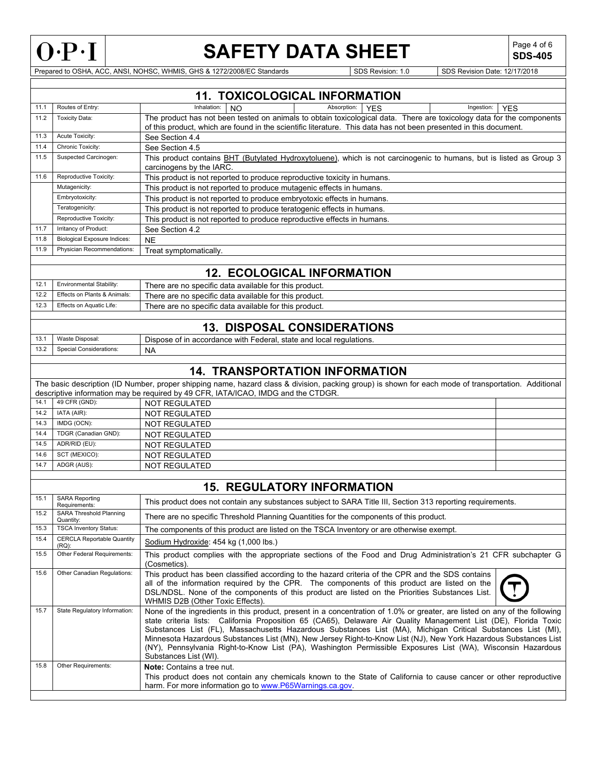

**SDS-405**

Prepared to OSHA, ACC, ANSI, NOHSC, WHMIS, GHS & 1272/2008/EC Standards SDS Revision: 1.0 SDS Revision Date: 12/17/2018

|      |                                               | <b>11. TOXICOLOGICAL INFORMATION</b>                                                                                                                                                                                                                                                                                                                                                                                                                                                                                                                                                                                      |  |
|------|-----------------------------------------------|---------------------------------------------------------------------------------------------------------------------------------------------------------------------------------------------------------------------------------------------------------------------------------------------------------------------------------------------------------------------------------------------------------------------------------------------------------------------------------------------------------------------------------------------------------------------------------------------------------------------------|--|
| 11.1 | Routes of Entry:                              | Inhalation:<br>Absorption:<br>Ingestion:<br>NO.<br><b>YES</b><br><b>YES</b>                                                                                                                                                                                                                                                                                                                                                                                                                                                                                                                                               |  |
| 11.2 | <b>Toxicity Data:</b>                         | The product has not been tested on animals to obtain toxicological data. There are toxicology data for the components<br>of this product, which are found in the scientific literature. This data has not been presented in this document.                                                                                                                                                                                                                                                                                                                                                                                |  |
| 11.3 | Acute Toxicity:                               | See Section 4.4                                                                                                                                                                                                                                                                                                                                                                                                                                                                                                                                                                                                           |  |
| 11.4 | Chronic Toxicity:                             | See Section 4.5                                                                                                                                                                                                                                                                                                                                                                                                                                                                                                                                                                                                           |  |
| 11.5 | Suspected Carcinogen:                         | This product contains BHT (Butylated Hydroxytoluene), which is not carcinogenic to humans, but is listed as Group 3<br>carcinogens by the IARC                                                                                                                                                                                                                                                                                                                                                                                                                                                                            |  |
| 11.6 | Reproductive Toxicity:                        | This product is not reported to produce reproductive toxicity in humans.                                                                                                                                                                                                                                                                                                                                                                                                                                                                                                                                                  |  |
|      | Mutagenicity:                                 | This product is not reported to produce mutagenic effects in humans.                                                                                                                                                                                                                                                                                                                                                                                                                                                                                                                                                      |  |
|      | Embryotoxicity:                               | This product is not reported to produce embryotoxic effects in humans.                                                                                                                                                                                                                                                                                                                                                                                                                                                                                                                                                    |  |
|      | Teratogenicity:                               | This product is not reported to produce teratogenic effects in humans.                                                                                                                                                                                                                                                                                                                                                                                                                                                                                                                                                    |  |
|      | Reproductive Toxicity:                        | This product is not reported to produce reproductive effects in humans.                                                                                                                                                                                                                                                                                                                                                                                                                                                                                                                                                   |  |
| 11.7 | Irritancy of Product:                         | See Section 4.2                                                                                                                                                                                                                                                                                                                                                                                                                                                                                                                                                                                                           |  |
| 11.8 | <b>Biological Exposure Indices:</b>           | <b>NE</b>                                                                                                                                                                                                                                                                                                                                                                                                                                                                                                                                                                                                                 |  |
| 11.9 | Physician Recommendations:                    | Treat symptomatically.                                                                                                                                                                                                                                                                                                                                                                                                                                                                                                                                                                                                    |  |
|      |                                               | <b>12. ECOLOGICAL INFORMATION</b>                                                                                                                                                                                                                                                                                                                                                                                                                                                                                                                                                                                         |  |
| 12.1 | <b>Environmental Stability:</b>               | There are no specific data available for this product.                                                                                                                                                                                                                                                                                                                                                                                                                                                                                                                                                                    |  |
| 12.2 | Effects on Plants & Animals:                  | There are no specific data available for this product.                                                                                                                                                                                                                                                                                                                                                                                                                                                                                                                                                                    |  |
| 12.3 | Effects on Aquatic Life:                      | There are no specific data available for this product.                                                                                                                                                                                                                                                                                                                                                                                                                                                                                                                                                                    |  |
|      |                                               |                                                                                                                                                                                                                                                                                                                                                                                                                                                                                                                                                                                                                           |  |
|      |                                               | <b>13. DISPOSAL CONSIDERATIONS</b>                                                                                                                                                                                                                                                                                                                                                                                                                                                                                                                                                                                        |  |
| 13.1 | Waste Disposal:                               | Dispose of in accordance with Federal, state and local regulations.                                                                                                                                                                                                                                                                                                                                                                                                                                                                                                                                                       |  |
| 13.2 | <b>Special Considerations:</b>                | <b>NA</b>                                                                                                                                                                                                                                                                                                                                                                                                                                                                                                                                                                                                                 |  |
|      |                                               |                                                                                                                                                                                                                                                                                                                                                                                                                                                                                                                                                                                                                           |  |
|      |                                               | <b>14. TRANSPORTATION INFORMATION</b>                                                                                                                                                                                                                                                                                                                                                                                                                                                                                                                                                                                     |  |
|      |                                               | The basic description (ID Number, proper shipping name, hazard class & division, packing group) is shown for each mode of transportation. Additional<br>descriptive information may be required by 49 CFR, IATA/ICAO, IMDG and the CTDGR.                                                                                                                                                                                                                                                                                                                                                                                 |  |
| 14.1 | 49 CFR (GND):                                 | <b>NOT REGULATED</b>                                                                                                                                                                                                                                                                                                                                                                                                                                                                                                                                                                                                      |  |
| 14.2 | IATA (AIR):                                   | NOT REGULATED                                                                                                                                                                                                                                                                                                                                                                                                                                                                                                                                                                                                             |  |
| 14.3 | IMDG (OCN):                                   | NOT REGULATED                                                                                                                                                                                                                                                                                                                                                                                                                                                                                                                                                                                                             |  |
| 14.4 | TDGR (Canadian GND):                          | <b>NOT REGULATED</b>                                                                                                                                                                                                                                                                                                                                                                                                                                                                                                                                                                                                      |  |
| 14.5 | ADR/RID (EU):                                 | <b>NOT REGULATED</b>                                                                                                                                                                                                                                                                                                                                                                                                                                                                                                                                                                                                      |  |
| 14.6 | SCT (MEXICO):                                 | <b>NOT REGULATED</b>                                                                                                                                                                                                                                                                                                                                                                                                                                                                                                                                                                                                      |  |
| 14.7 | ADGR (AUS):                                   | <b>NOT REGULATED</b>                                                                                                                                                                                                                                                                                                                                                                                                                                                                                                                                                                                                      |  |
|      |                                               | <b>15. REGULATORY INFORMATION</b>                                                                                                                                                                                                                                                                                                                                                                                                                                                                                                                                                                                         |  |
| 15.1 | <b>SARA Reporting</b><br>Requirements:        | This product does not contain any substances subject to SARA Title III, Section 313 reporting requirements.                                                                                                                                                                                                                                                                                                                                                                                                                                                                                                               |  |
| 15.2 | <b>SARA Threshold Planning</b><br>Quantity:   | There are no specific Threshold Planning Quantities for the components of this product.                                                                                                                                                                                                                                                                                                                                                                                                                                                                                                                                   |  |
| 15.3 | <b>TSCA Inventory Status:</b>                 | The components of this product are listed on the TSCA Inventory or are otherwise exempt.                                                                                                                                                                                                                                                                                                                                                                                                                                                                                                                                  |  |
| 15.4 | <b>CERCLA Reportable Quantity</b><br>$(RQ)$ : | Sodium Hydroxide: 454 kg (1,000 lbs.)                                                                                                                                                                                                                                                                                                                                                                                                                                                                                                                                                                                     |  |
| 15.5 | Other Federal Requirements:                   | This product complies with the appropriate sections of the Food and Drug Administration's 21 CFR subchapter G<br>(Cosmetics).                                                                                                                                                                                                                                                                                                                                                                                                                                                                                             |  |
| 15.6 | Other Canadian Regulations:                   | This product has been classified according to the hazard criteria of the CPR and the SDS contains<br>all of the information required by the CPR. The components of this product are listed on the<br>DSL/NDSL. None of the components of this product are listed on the Priorities Substances List.<br>WHMIS D2B (Other Toxic Effects).                                                                                                                                                                                                                                                                                   |  |
| 15.7 | State Regulatory Information:                 | None of the ingredients in this product, present in a concentration of 1.0% or greater, are listed on any of the following<br>state criteria lists: California Proposition 65 (CA65), Delaware Air Quality Management List (DE), Florida Toxic<br>Substances List (FL), Massachusetts Hazardous Substances List (MA), Michigan Critical Substances List (MI),<br>Minnesota Hazardous Substances List (MN), New Jersey Right-to-Know List (NJ), New York Hazardous Substances List<br>(NY), Pennsylvania Right-to-Know List (PA), Washington Permissible Exposures List (WA), Wisconsin Hazardous<br>Substances List (WI). |  |
| 15.8 | Other Requirements:                           | <b>Note:</b> Contains a tree nut.<br>This product does not contain any chemicals known to the State of California to cause cancer or other reproductive<br>harm. For more information go to www.P65Warnings.ca.gov.                                                                                                                                                                                                                                                                                                                                                                                                       |  |
|      |                                               |                                                                                                                                                                                                                                                                                                                                                                                                                                                                                                                                                                                                                           |  |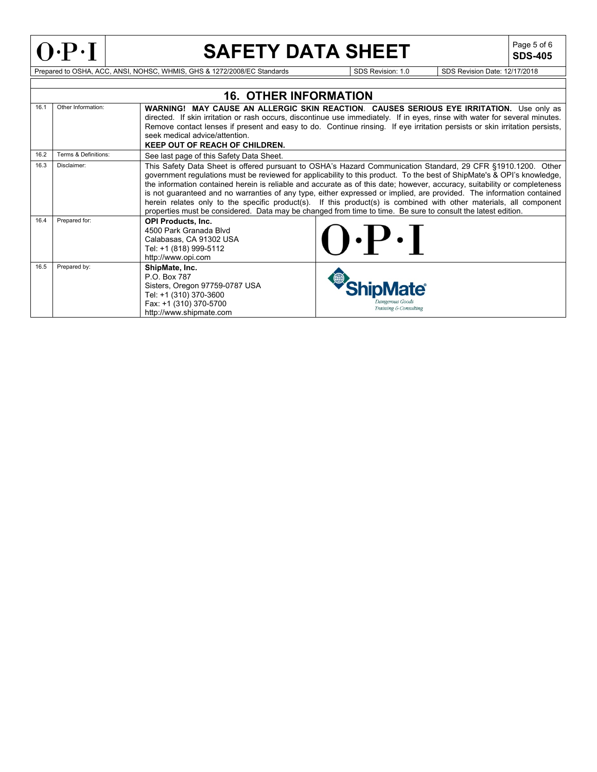

**SDS-405**

Prepared to OSHA, ACC, ANSI, NOHSC, WHMIS, GHS & 1272/2008/EC Standards Superintendent SDS Revision: 1.0 SDS Revision Date: 12/17/2018

|      |                      | <b>16. OTHER INFORMATION</b>                                                                                                                                                                                                                                                                                                                                                                                                                                                                                                                                                                                                                                                                                                        |
|------|----------------------|-------------------------------------------------------------------------------------------------------------------------------------------------------------------------------------------------------------------------------------------------------------------------------------------------------------------------------------------------------------------------------------------------------------------------------------------------------------------------------------------------------------------------------------------------------------------------------------------------------------------------------------------------------------------------------------------------------------------------------------|
| 16.1 | Other Information:   | <b>WARNING! MAY CAUSE AN ALLERGIC SKIN REACTION. CAUSES SERIOUS EYE IRRITATION.</b> Use only as<br>directed. If skin irritation or rash occurs, discontinue use immediately. If in eyes, rinse with water for several minutes.<br>Remove contact lenses if present and easy to do. Continue rinsing. If eye irritation persists or skin irritation persists,<br>seek medical advice/attention.<br><b>KEEP OUT OF REACH OF CHILDREN.</b>                                                                                                                                                                                                                                                                                             |
| 16.2 | Terms & Definitions: | See last page of this Safety Data Sheet.                                                                                                                                                                                                                                                                                                                                                                                                                                                                                                                                                                                                                                                                                            |
| 16.3 | Disclaimer:          | This Safety Data Sheet is offered pursuant to OSHA's Hazard Communication Standard, 29 CFR §1910.1200. Other<br>government regulations must be reviewed for applicability to this product. To the best of ShipMate's & OPI's knowledge,<br>the information contained herein is reliable and accurate as of this date; however, accuracy, suitability or completeness<br>is not guaranteed and no warranties of any type, either expressed or implied, are provided. The information contained<br>herein relates only to the specific product(s). If this product(s) is combined with other materials, all component<br>properties must be considered. Data may be changed from time to time. Be sure to consult the latest edition. |
| 16.4 | Prepared for:        | <b>OPI Products, Inc.</b><br>4500 Park Granada Blvd<br>$\mathbf{P} \cdot \mathbf{P}$<br>Calabasas, CA 91302 USA<br>Tel: +1 (818) 999-5112<br>http://www.opi.com                                                                                                                                                                                                                                                                                                                                                                                                                                                                                                                                                                     |
| 16.5 | Prepared by:         | ShipMate, Inc.<br>P.O. Box 787<br>Sisters, Oregon 97759-0787 USA<br><b>Mate</b><br>Tel: +1 (310) 370-3600<br>Dangerous Goods<br>Fax: +1 (310) 370-5700<br>Training & Consulting<br>http://www.shipmate.com                                                                                                                                                                                                                                                                                                                                                                                                                                                                                                                          |